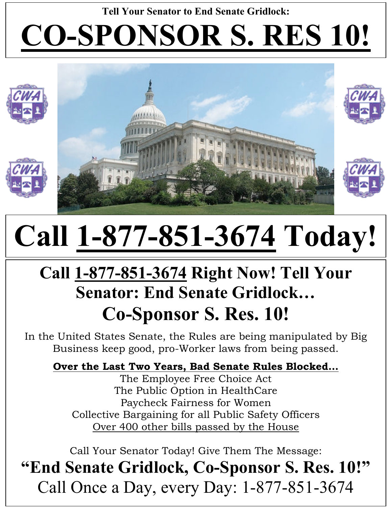### **Tell Your Senator to End Senate Gridlock: CO-SPONSOR S. RES 10!**



# **Call 1-877-851-3674 Today!**

### **Call 1-877-851-3674 Right Now! Tell Your Senator: End Senate Gridlock… Co-Sponsor S. Res. 10!**

In the United States Senate, the Rules are being manipulated by Big Business keep good, pro-Worker laws from being passed.

**Over the Last Two Years, Bad Senate Rules Blocked…**

The Employee Free Choice Act The Public Option in HealthCare Paycheck Fairness for Women Collective Bargaining for all Public Safety Officers Over 400 other bills passed by the House

Call Your Senator Today! Give Them The Message:

**"End Senate Gridlock, Co-Sponsor S. Res. 10!"**  Call Once a Day, every Day: 1-877-851-3674